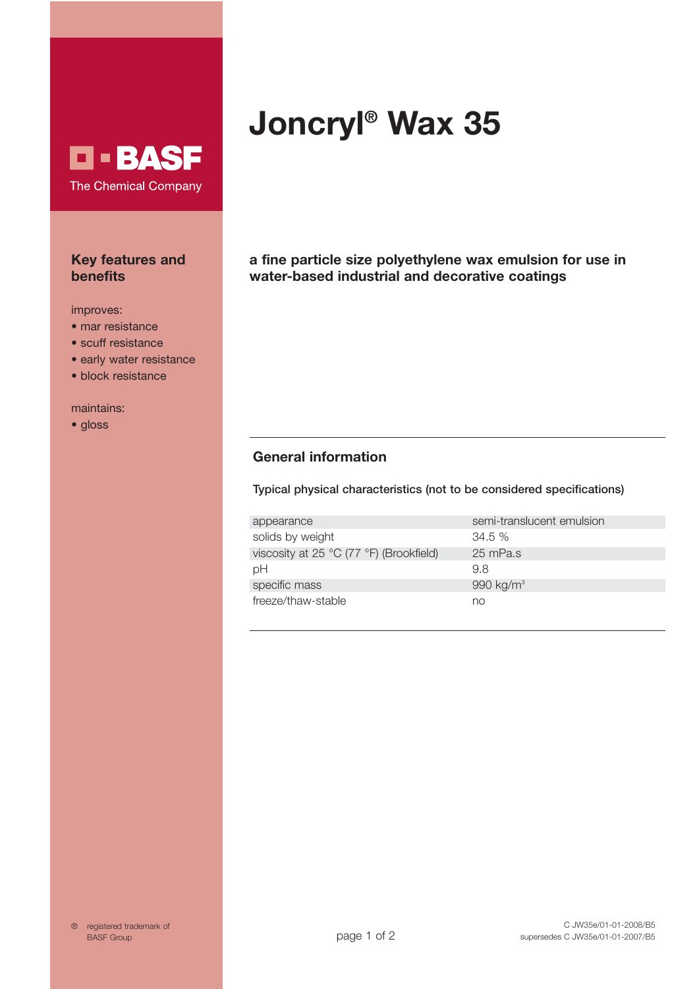## **D-BASF** The Chemical Company

#### **Key features and benefits**

- improves:<br>• mar resistance
- $\bullet$  scuff resistance
- early water resistance
- $\bullet$  block resistance

mainte<br>Amhain  $\mathbf{e}$ 

# **Joncryl® Wax 35**

**a fine particle size polyethylene wax emulsion for use in water-based industrial and decorative coatings**

## **General information**

**Typical physical characteristics (not to be considered specifications)**

| appearance                              | semi-translucent emulsion |
|-----------------------------------------|---------------------------|
| solids by weight                        | 34.5%                     |
| viscosity at 25 °C (77 °F) (Brookfield) | 25 mPa.s                  |
| рH                                      | 9.8                       |
| specific mass                           | 990 kg/m <sup>3</sup>     |
| freeze/thaw-stable                      | no                        |